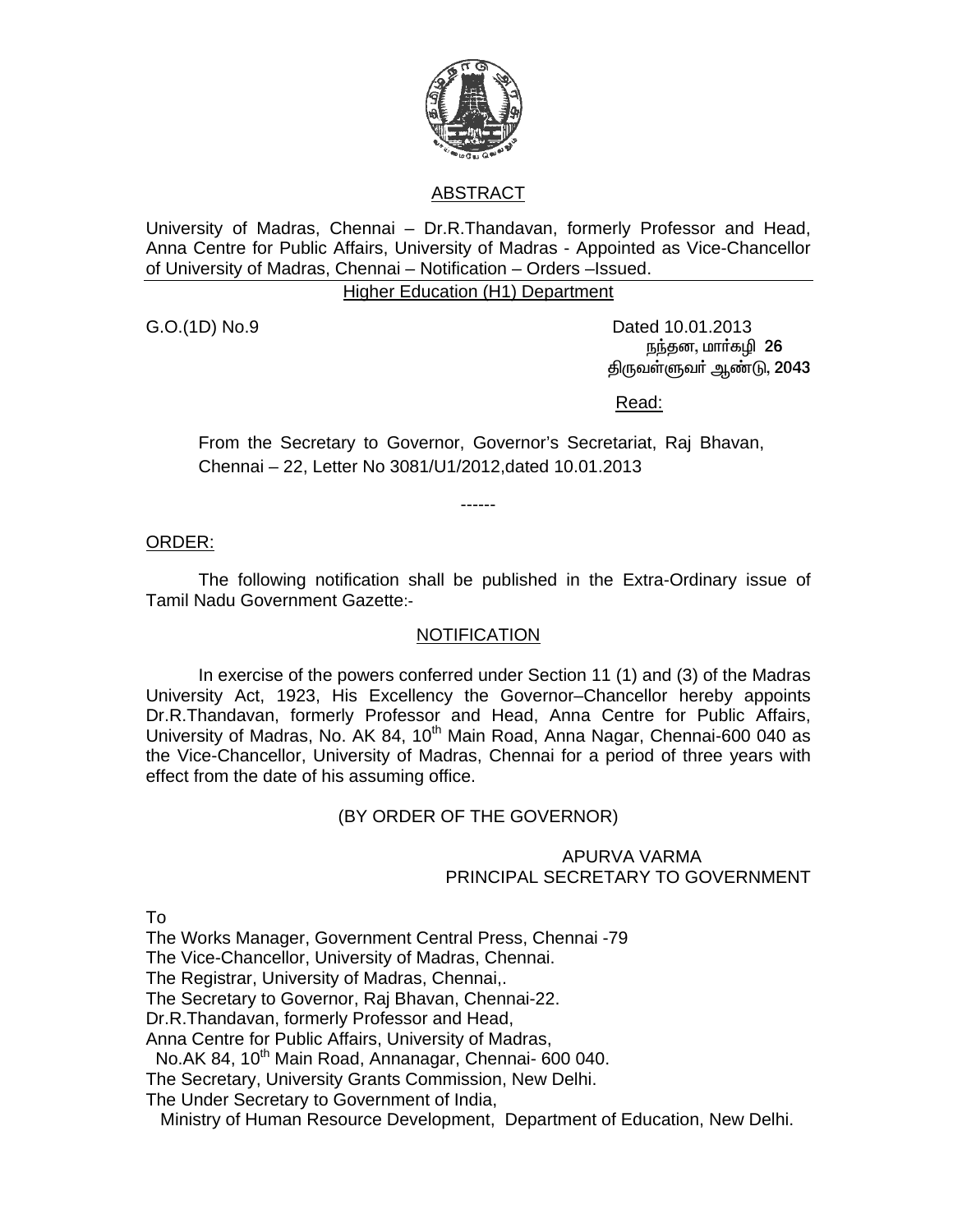

# ABSTRACT

University of Madras, Chennai – Dr.R.Thandavan, formerly Professor and Head, Anna Centre for Public Affairs, University of Madras - Appointed as Vice-Chancellor of University of Madras, Chennai – Notification – Orders –Issued.

#### Higher Education (H1) Department

G.O.(1D) No.9 Dated 10.01.2013 நந்தன, மார்கழி 26 திருவள்ளுவர் ஆண்டு, 2043

<u>Read: Album and Album and Album and Album and Album and Album and Album and Album and Album and Album and Albu</u>

From the Secretary to Governor, Governor's Secretariat, Raj Bhavan, Chennai – 22, Letter No 3081/U1/2012,dated 10.01.2013

------

ORDER:

 The following notification shall be published in the Extra-Ordinary issue of Tamil Nadu Government Gazette:-

### NOTIFICATION

 In exercise of the powers conferred under Section 11 (1) and (3) of the Madras University Act, 1923, His Excellency the Governor–Chancellor hereby appoints Dr.R.Thandavan, formerly Professor and Head, Anna Centre for Public Affairs, University of Madras, No. AK 84, 10<sup>th</sup> Main Road, Anna Nagar, Chennai-600 040 as the Vice-Chancellor, University of Madras, Chennai for a period of three years with effect from the date of his assuming office.

## (BY ORDER OF THE GOVERNOR)

### APURVA VARMA PRINCIPAL SECRETARY TO GOVERNMENT

To

The Works Manager, Government Central Press, Chennai -79

The Vice-Chancellor, University of Madras, Chennai.

The Registrar, University of Madras, Chennai,.

The Secretary to Governor, Raj Bhavan, Chennai-22.

Dr.R.Thandavan, formerly Professor and Head,

Anna Centre for Public Affairs, University of Madras,

No.AK 84, 10<sup>th</sup> Main Road, Annanagar, Chennai- 600 040.

The Secretary, University Grants Commission, New Delhi.

The Under Secretary to Government of India,

Ministry of Human Resource Development, Department of Education, New Delhi.